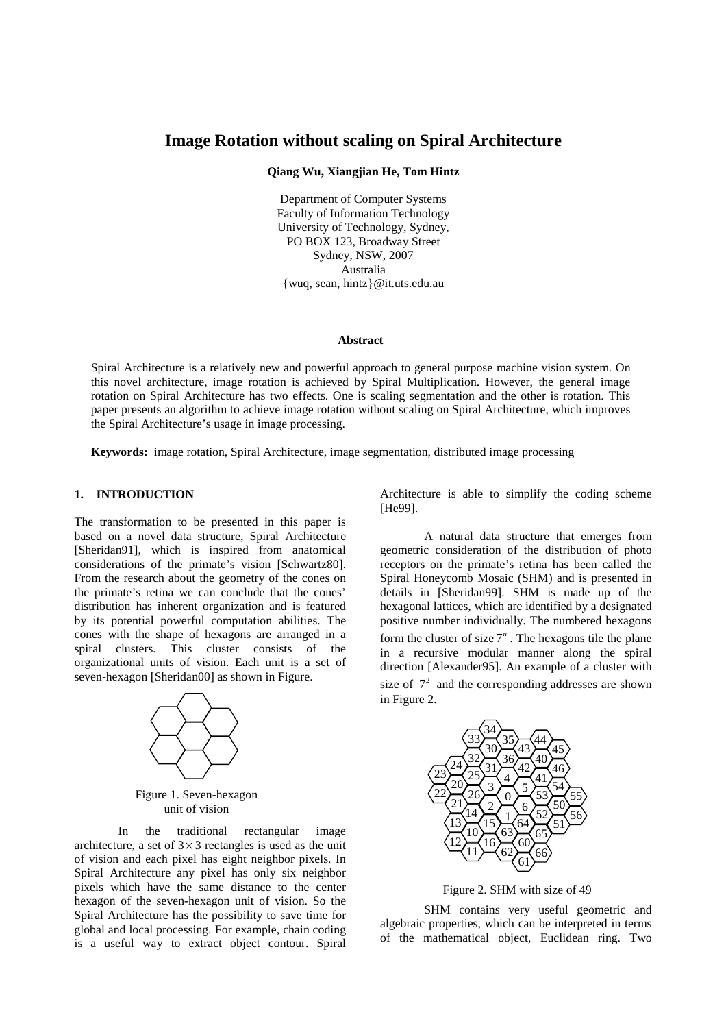# **Image Rotation without scaling on Spiral Architecture**

**Qiang Wu, Xiangjian He, Tom Hintz** 

Department of Computer Systems Faculty of Information Technology University of Technology, Sydney, PO BOX 123, Broadway Street Sydney, NSW, 2007 Australia {wuq, sean, hintz}@it.uts.edu.au

#### **Abstract**

Spiral Architecture is a relatively new and powerful approach to general purpose machine vision system. On this novel architecture, image rotation is achieved by Spiral Multiplication. However, the general image rotation on Spiral Architecture has two effects. One is scaling segmentation and the other is rotation. This paper presents an algorithm to achieve image rotation without scaling on Spiral Architecture, which improves the Spiral Architecture's usage in image processing.

**Keywords:** image rotation, Spiral Architecture, image segmentation, distributed image processing

## **1. INTRODUCTION**

The transformation to be presented in this paper is based on a novel data structure, Spiral Architecture [Sheridan91], which is inspired from anatomical considerations of the primate's vision [Schwartz80]. From the research about the geometry of the cones on the primate's retina we can conclude that the cones' distribution has inherent organization and is featured by its potential powerful computation abilities. The cones with the shape of hexagons are arranged in a spiral clusters. This cluster consists of the organizational units of vision. Each unit is a set of seven-hexagon [Sheridan00] as shown in Figure.



Figure 1. Seven-hexagon unit of vision

In the traditional rectangular image architecture, a set of  $3 \times 3$  rectangles is used as the unit of vision and each pixel has eight neighbor pixels. In Spiral Architecture any pixel has only six neighbor pixels which have the same distance to the center hexagon of the seven-hexagon unit of vision. So the Spiral Architecture has the possibility to save time for global and local processing. For example, chain coding is a useful way to extract object contour. Spiral Architecture is able to simplify the coding scheme [He99].

A natural data structure that emerges from geometric consideration of the distribution of photo receptors on the primate's retina has been called the Spiral Honeycomb Mosaic (SHM) and is presented in details in [Sheridan99]. SHM is made up of the hexagonal lattices, which are identified by a designated positive number individually. The numbered hexagons form the cluster of size  $7<sup>n</sup>$ . The hexagons tile the plane in a recursive modular manner along the spiral direction [Alexander95]. An example of a cluster with size of  $7<sup>2</sup>$  and the corresponding addresses are shown in Figure 2.



Figure 2. SHM with size of 49

SHM contains very useful geometric and algebraic properties, which can be interpreted in terms of the mathematical object, Euclidean ring. Two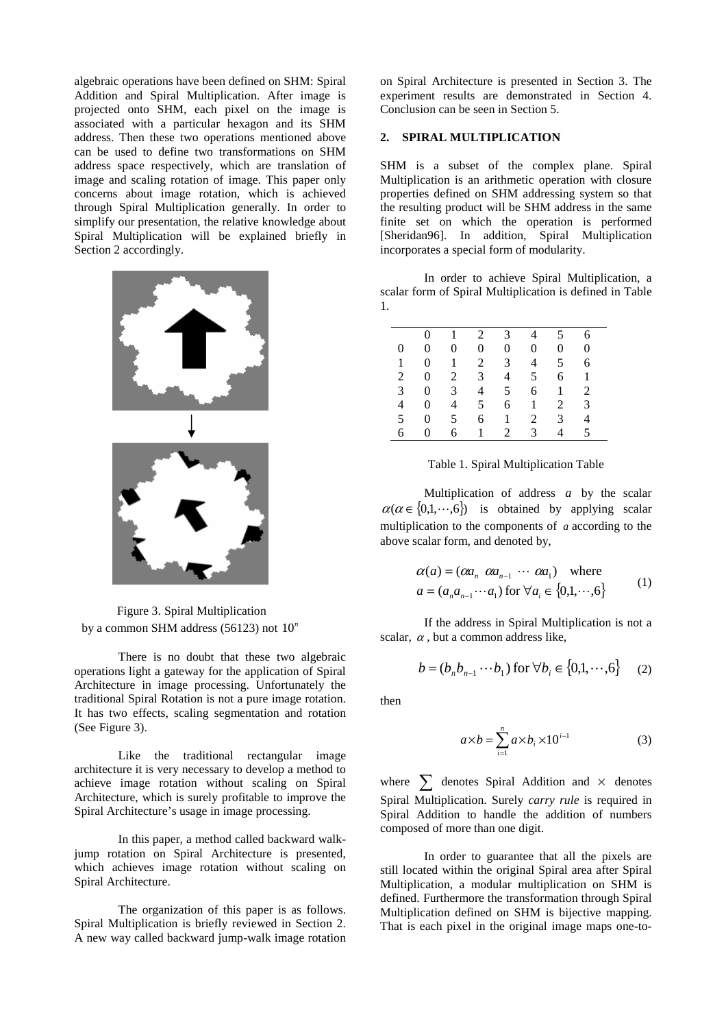algebraic operations have been defined on SHM: Spiral Addition and Spiral Multiplication. After image is projected onto SHM, each pixel on the image is associated with a particular hexagon and its SHM address. Then these two operations mentioned above can be used to define two transformations on SHM address space respectively, which are translation of image and scaling rotation of image. This paper only concerns about image rotation, which is achieved through Spiral Multiplication generally. In order to simplify our presentation, the relative knowledge about Spiral Multiplication will be explained briefly in Section 2 accordingly.



Figure 3. Spiral Multiplication by a common SHM address (56123) not  $10^n$ 

There is no doubt that these two algebraic operations light a gateway for the application of Spiral Architecture in image processing. Unfortunately the traditional Spiral Rotation is not a pure image rotation. It has two effects, scaling segmentation and rotation (See Figure 3).

Like the traditional rectangular image architecture it is very necessary to develop a method to achieve image rotation without scaling on Spiral Architecture, which is surely profitable to improve the Spiral Architecture's usage in image processing.

In this paper, a method called backward walkjump rotation on Spiral Architecture is presented, which achieves image rotation without scaling on Spiral Architecture.

The organization of this paper is as follows. Spiral Multiplication is briefly reviewed in Section 2. A new way called backward jump-walk image rotation

on Spiral Architecture is presented in Section 3. The experiment results are demonstrated in Section 4. Conclusion can be seen in Section 5.

#### **2. SPIRAL MULTIPLICATION**

SHM is a subset of the complex plane. Spiral Multiplication is an arithmetic operation with closure properties defined on SHM addressing system so that the resulting product will be SHM address in the same finite set on which the operation is performed [Sheridan96]. In addition, Spiral Multiplication incorporates a special form of modularity.

In order to achieve Spiral Multiplication, a scalar form of Spiral Multiplication is defined in Table 1.

|                 | $\Omega$       | $\mathbf{1}$   | $\overline{2}$ | $\mathbf{3}$   | $\overline{4}$ | 5 <sup>5</sup> | 6              |
|-----------------|----------------|----------------|----------------|----------------|----------------|----------------|----------------|
| 0               | $\theta$       | $\overline{0}$ | $\overline{0}$ | $\overline{0}$ | $\overline{0}$ | $\overline{0}$ | $\overline{0}$ |
| 1               | $\overline{0}$ | 1              | $\overline{2}$ | 3 <sup>7</sup> | $\overline{4}$ | 5 <sup>5</sup> | 6              |
| 2               | $\overline{0}$ | $\overline{2}$ | $\mathbf{3}$   | $\overline{4}$ | 5              | 6              | 1              |
| 3 <sup>7</sup>  | $\overline{0}$ | $\mathfrak{Z}$ | $\overline{4}$ | 5 <sup>5</sup> | 6              | $\mathbf{1}$   | 2              |
| $4\overline{ }$ | $\overline{0}$ | $\overline{4}$ | 5 <sup>5</sup> | 6              | $\mathbf{1}$   | 2              | 3              |
| 5 <sup>5</sup>  | $\overline{0}$ | 5 <sup>5</sup> | 6              | $\mathbf{1}$   | 2              | $\mathcal{E}$  | 4              |
| 6               | $\overline{0}$ | 6              | 1              | $\overline{2}$ | 3              | 4              | 5              |

Table 1. Spiral Multiplication Table

Multiplication of address *a* by the scalar  $\alpha(\alpha \in \{0,1,\dots,6\})$  is obtained by applying scalar multiplication to the components of *a* according to the above scalar form, and denoted by,

$$
\alpha(a) = (\alpha a_n \ \alpha a_{n-1} \ \cdots \ \alpha a_1) \quad \text{where}
$$
\n
$$
a = (a_n a_{n-1} \cdots a_1) \text{ for } \forall a_i \in \{0, 1, \cdots, 6\}
$$
\n
$$
(1)
$$

If the address in Spiral Multiplication is not a scalar,  $\alpha$ , but a common address like,

$$
b = (b_n b_{n-1} \cdots b_1) \text{ for } \forall b_i \in \{0, 1, \cdots, 6\} \tag{2}
$$

then

$$
a \times b = \sum_{i=1}^{n} a \times b_i \times 10^{i-1}
$$
 (3)

where  $\sum$  denotes Spiral Addition and  $\times$  denotes Spiral Multiplication. Surely *carry rule* is required in Spiral Addition to handle the addition of numbers composed of more than one digit.

In order to guarantee that all the pixels are still located within the original Spiral area after Spiral Multiplication, a modular multiplication on SHM is defined. Furthermore the transformation through Spiral Multiplication defined on SHM is bijective mapping. That is each pixel in the original image maps one-to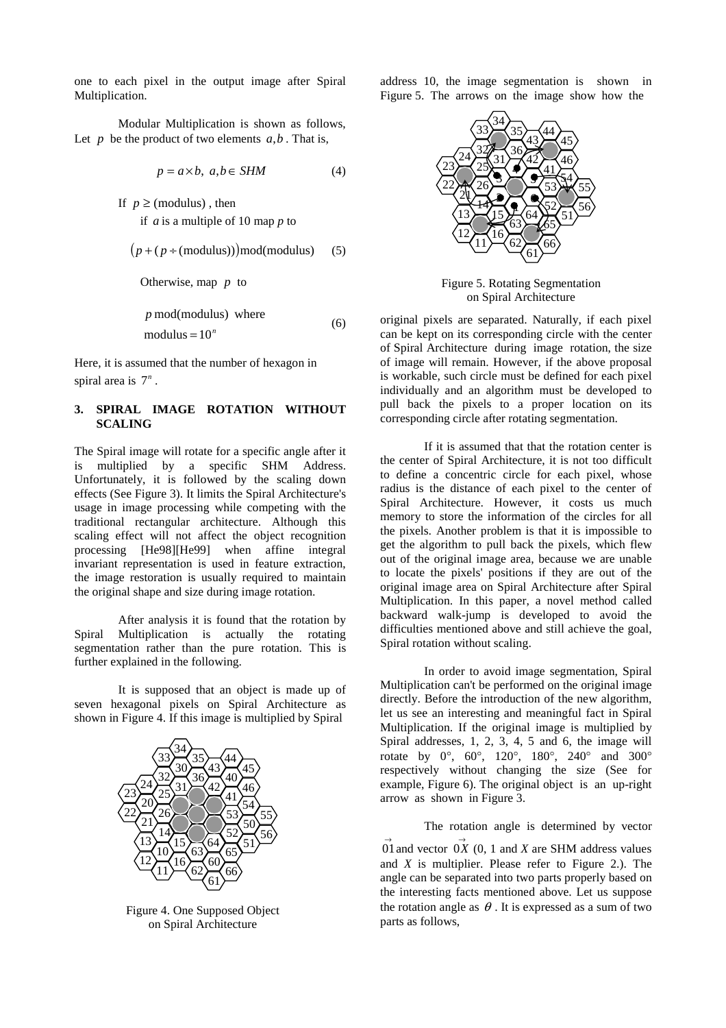one to each pixel in the output image after Spiral Multiplication.

Modular Multiplication is shown as follows, Let  $p$  be the product of two elements  $a, b$ . That is,

$$
p = a \times b, \ a, b \in SHM \tag{4}
$$

If  $p \geq$  (modulus), then if *a* is a multiple of 10 map *p* to

$$
(p + (p \div (modulus))) \mod (modulus)
$$
 (5)

Otherwise, map *p* to

$$
p \mod(\text{modulus}) \text{ where}
$$
  
modulus =  $10^n$  (6)

Here, it is assumed that the number of hexagon in spiral area is  $7<sup>n</sup>$ .

# **3. SPIRAL IMAGE ROTATION WITHOUT SCALING**

The Spiral image will rotate for a specific angle after it is multiplied by a specific SHM Address. Unfortunately, it is followed by the scaling down effects (See Figure 3). It limits the Spiral Architecture's usage in image processing while competing with the traditional rectangular architecture. Although this scaling effect will not affect the object recognition processing [He98][He99] when affine integral invariant representation is used in feature extraction, the image restoration is usually required to maintain the original shape and size during image rotation.

After analysis it is found that the rotation by Spiral Multiplication is actually the rotating segmentation rather than the pure rotation. This is further explained in the following.

It is supposed that an object is made up of seven hexagonal pixels on Spiral Architecture as shown in Figure 4. If this image is multiplied by Spiral



Figure 4. One Supposed Object on Spiral Architecture

address 10, the image segmentation is shown in Figure 5. The arrows on the image show how the



Figure 5. Rotating Segmentation on Spiral Architecture

original pixels are separated. Naturally, if each pixel can be kept on its corresponding circle with the center of Spiral Architecture during image rotation, the size of image will remain. However, if the above proposal is workable, such circle must be defined for each pixel individually and an algorithm must be developed to pull back the pixels to a proper location on its corresponding circle after rotating segmentation.

If it is assumed that that the rotation center is the center of Spiral Architecture, it is not too difficult to define a concentric circle for each pixel, whose radius is the distance of each pixel to the center of Spiral Architecture. However, it costs us much memory to store the information of the circles for all the pixels. Another problem is that it is impossible to get the algorithm to pull back the pixels, which flew out of the original image area, because we are unable to locate the pixels' positions if they are out of the original image area on Spiral Architecture after Spiral Multiplication. In this paper, a novel method called backward walk-jump is developed to avoid the difficulties mentioned above and still achieve the goal, Spiral rotation without scaling.

In order to avoid image segmentation, Spiral Multiplication can't be performed on the original image directly. Before the introduction of the new algorithm, let us see an interesting and meaningful fact in Spiral Multiplication. If the original image is multiplied by Spiral addresses, 1, 2, 3, 4, 5 and 6, the image will rotate by 0°, 60°, 120°, 180°, 240° and 300° respectively without changing the size (See for example, Figure 6). The original object is an up-right arrow as shown in Figure 3.

The rotation angle is determined by vector

 $\overrightarrow{01}$  and vector  $\overrightarrow{0X}$  (0, 1 and *X* are SHM address values and *X* is multiplier. Please refer to Figure 2.). The angle can be separated into two parts properly based on the interesting facts mentioned above. Let us suppose the rotation angle as  $\theta$ . It is expressed as a sum of two parts as follows,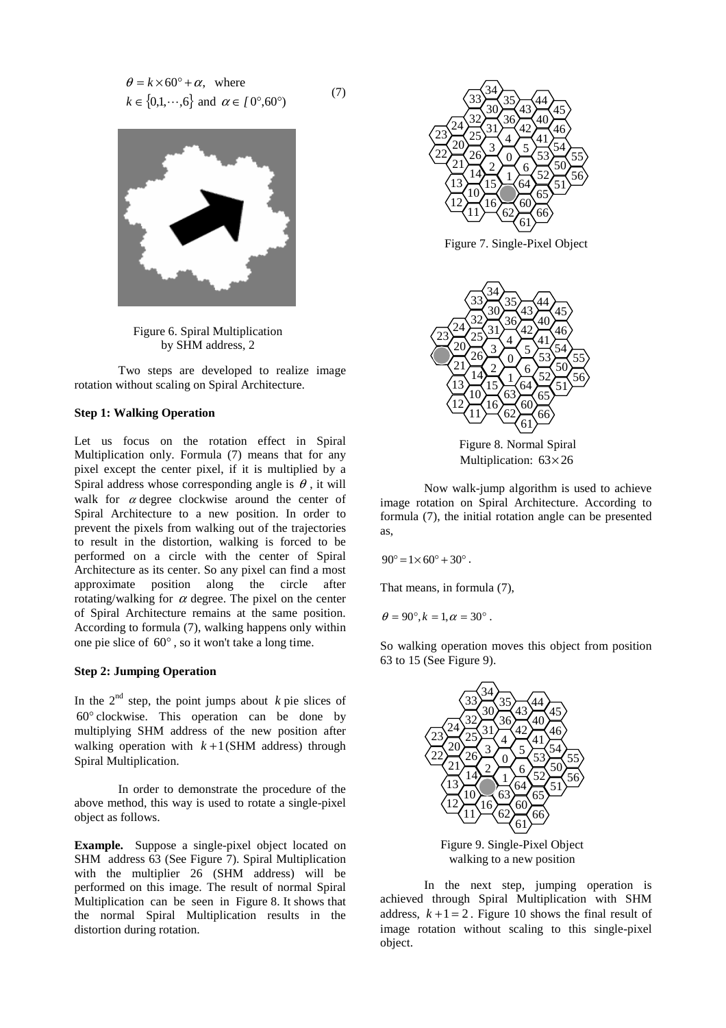$$
\theta = k \times 60^{\circ} + \alpha, \text{ where}
$$
  

$$
k \in \{0, 1, \dots, 6\} \text{ and } \alpha \in [0^{\circ}, 60^{\circ})
$$
 (7)



Figure 6. Spiral Multiplication by SHM address, 2

Two steps are developed to realize image rotation without scaling on Spiral Architecture.

# **Step 1: Walking Operation**

Let us focus on the rotation effect in Spiral Multiplication only. Formula (7) means that for any pixel except the center pixel, if it is multiplied by a Spiral address whose corresponding angle is  $\theta$ , it will walk for  $\alpha$  degree clockwise around the center of Spiral Architecture to a new position. In order to prevent the pixels from walking out of the trajectories to result in the distortion, walking is forced to be performed on a circle with the center of Spiral Architecture as its center. So any pixel can find a most approximate position along the circle after rotating/walking for  $\alpha$  degree. The pixel on the center of Spiral Architecture remains at the same position. According to formula (7), walking happens only within one pie slice of 60° , so it won't take a long time.

## **Step 2: Jumping Operation**

In the  $2<sup>nd</sup>$  step, the point jumps about  $k$  pie slices of ° clockwise. This operation can be done by multiplying SHM address of the new position after walking operation with  $k+1$ (SHM address) through Spiral Multiplication.

In order to demonstrate the procedure of the above method, this way is used to rotate a single-pixel object as follows.

**Example.** Suppose a single-pixel object located on SHM address 63 (See Figure 7). Spiral Multiplication with the multiplier 26 (SHM address) will be performed on this image. The result of normal Spiral Multiplication can be seen in Figure 8. It shows that the normal Spiral Multiplication results in the distortion during rotation.



Figure 7. Single-Pixel Object



Figure 8. Normal Spiral Multiplication:  $63\times26$ 

Now walk-jump algorithm is used to achieve image rotation on Spiral Architecture. According to formula (7), the initial rotation angle can be presented as,

$$
90^{\circ} = 1 \times 60^{\circ} + 30^{\circ}.
$$

That means, in formula (7),

 $\theta = 90^{\circ}, k = 1, \alpha = 30^{\circ}.$ 

So walking operation moves this object from position 63 to 15 (See Figure 9).



Figure 9. Single-Pixel Object walking to a new position

In the next step, jumping operation is achieved through Spiral Multiplication with SHM address,  $k+1=2$ . Figure 10 shows the final result of image rotation without scaling to this single-pixel object.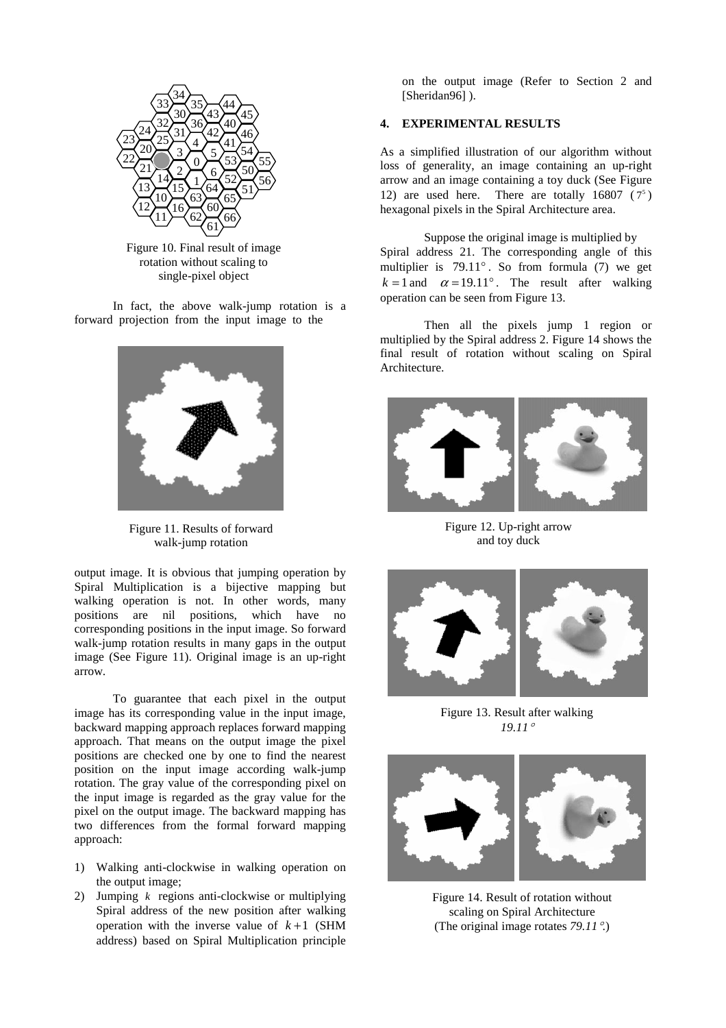

Figure 10. Final result of image rotation without scaling to single-pixel object

In fact, the above walk-jump rotation is a forward projection from the input image to the



Figure 11. Results of forward walk-jump rotation

output image. It is obvious that jumping operation by Spiral Multiplication is a bijective mapping but walking operation is not. In other words, many positions are nil positions, which have no corresponding positions in the input image. So forward walk-jump rotation results in many gaps in the output image (See Figure 11). Original image is an up-right arrow.

To guarantee that each pixel in the output image has its corresponding value in the input image, backward mapping approach replaces forward mapping approach. That means on the output image the pixel positions are checked one by one to find the nearest position on the input image according walk-jump rotation. The gray value of the corresponding pixel on the input image is regarded as the gray value for the pixel on the output image. The backward mapping has two differences from the formal forward mapping approach:

- 1) Walking anti-clockwise in walking operation on the output image;
- 2) Jumping *k* regions anti-clockwise or multiplying Spiral address of the new position after walking operation with the inverse value of  $k+1$  (SHM address) based on Spiral Multiplication principle

on the output image (Refer to Section 2 and [Sheridan96] ).

# **4. EXPERIMENTAL RESULTS**

As a simplified illustration of our algorithm without loss of generality, an image containing an up-right arrow and an image containing a toy duck (See Figure 12) are used here. There are totally 16807  $(7^5)$ hexagonal pixels in the Spiral Architecture area.

Suppose the original image is multiplied by Spiral address 21. The corresponding angle of this multiplier is 79.11° . So from formula (7) we get  $k = 1$  and  $\alpha = 19.11^{\circ}$ . The result after walking operation can be seen from Figure 13.

Then all the pixels jump 1 region or multiplied by the Spiral address 2. Figure 14 shows the final result of rotation without scaling on Spiral Architecture.



Figure 12. Up-right arrow and toy duck



Figure 13. Result after walking *19.11*°



Figure 14. Result of rotation without scaling on Spiral Architecture (The original image rotates *79.11*°.)